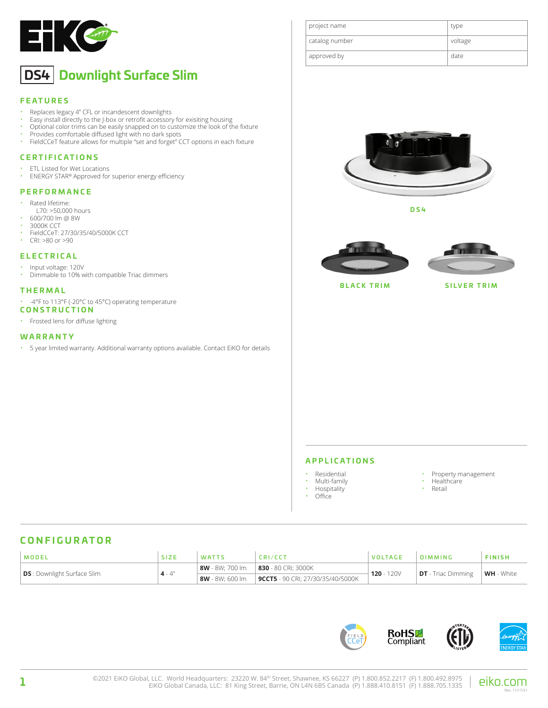

# **DS4 Downlight Surface Slim**

### **FEATURES**

- Replaces legacy 4" CFL or incandescent downlights
- Easy install directly to the J-box or retrofit accessory for exisiting housing<br>• Optional color trime can be optily spanned on to sustamize the look of the
- Optional color trims can be easily snapped on to customize the look of the fixture
- Provides comfortable diffused light with no dark spots<br>• FieldCCeT feature allows for multiple "set and fergot" C
- FieldCCeT feature allows for multiple "set and forget" CCT options in each fixture

### **CERTIFICATIONS**

- ETL Listed for Wet Locations<br>• ENERGY STAR® Approved for
- ENERGY STAR® Approved for superior energy efficiency

#### **PERFORMANCE**

- Rated lifetime:
- L70: >50,000 hours
- $\cdot$  600/700 lm @ 8W
- 3000K CCT<br>• FieldCCeT: • FieldCCeT: 27/30/35/40/5000K CCT
- CRI: >80 or >90

### **ELECTRICAL**

- Input voltage: 120V
- Dimmable to 10% with compatible Triac dimmers

### **THERMAL**

- -4°F to 113°F (-20°C to 45°C) operating temperature
- **CONSTRUCTION**
- Frosted lens for diffuse lighting

### **WARRANTY**

• 5 year limited warranty. Additional warranty options available. Contact EiKO for details

| project name   | type    |
|----------------|---------|
| catalog number | voltage |
| approved by    | date    |



**DS4**





**BLACK TRIM SILVER TRIM**

#### **APPLICATIONS**

- Residential
- Multi-family
- Hospitality
- Office
- 
- Property management<br>• Healthcare • Healthcare
- Retail
- 

# **CONFIGURATOR**

| MODEL                              | <b>SIZE</b> | <b>WATTS</b>    | <b>SRI/CCT</b>                            | <b>VOLTAGE</b> | DIMMING                   | <b>FINISH</b> |
|------------------------------------|-------------|-----------------|-------------------------------------------|----------------|---------------------------|---------------|
| <b>DS</b> : Downlight Surface Slim | $4 - 4"$    | 8W - 8W: 700 lm | 830 - 80 CRI; 3000K                       | $120 - 120V$   | <b>DT</b> - Triac Dimming | WH - White    |
|                                    |             | 8W - 8W: 600 lm | $\vert$ 9CCT5 - 90 CRI; 27/30/35/40/5000K |                |                           |               |